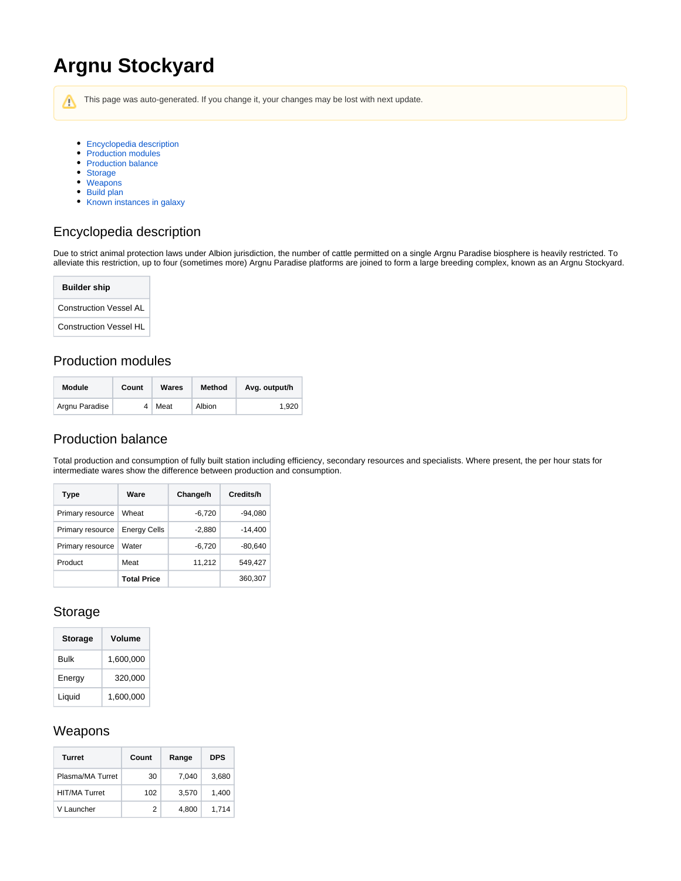# **Argnu Stockyard**

Λ This page was auto-generated. If you change it, your changes may be lost with next update.

- [Encyclopedia description](#page-0-0)
- [Production modules](#page-0-1)
- [Production balance](#page-0-2)
- [Storage](#page-0-3)
- [Weapons](#page-0-4)
- [Build plan](#page-1-0)
- [Known instances in galaxy](#page-1-1)

## <span id="page-0-0"></span>Encyclopedia description

Due to strict animal protection laws under Albion jurisdiction, the number of cattle permitted on a single Argnu Paradise biosphere is heavily restricted. To alleviate this restriction, up to four (sometimes more) Argnu Paradise platforms are joined to form a large breeding complex, known as an Argnu Stockyard.

| <b>Builder ship</b>           |  |  |  |  |  |
|-------------------------------|--|--|--|--|--|
| <b>Construction Vessel AL</b> |  |  |  |  |  |
| <b>Construction Vessel HL</b> |  |  |  |  |  |

#### <span id="page-0-1"></span>Production modules

| Module         | Count | Wares | Method | Avg. output/h |  |
|----------------|-------|-------|--------|---------------|--|
| Argnu Paradise |       | Meat  | Albion | 1.920         |  |

#### <span id="page-0-2"></span>Production balance

Total production and consumption of fully built station including efficiency, secondary resources and specialists. Where present, the per hour stats for intermediate wares show the difference between production and consumption.

| Type             | Ware                | Change/h | Credits/h |
|------------------|---------------------|----------|-----------|
| Primary resource | Wheat               | $-6,720$ | $-94,080$ |
| Primary resource | <b>Energy Cells</b> | $-2,880$ | $-14,400$ |
| Primary resource | Water               | $-6,720$ | $-80,640$ |
| Product          | Meat                | 11,212   | 549.427   |
|                  | Total Price         |          | 360,307   |

#### <span id="page-0-3"></span>Storage

| <b>Storage</b> | Volume    |
|----------------|-----------|
| Bulk           | 1,600,000 |
| Energy         | 320,000   |
| Liquid         | 1,600,000 |

#### <span id="page-0-4"></span>Weapons

| <b>Turret</b>        | Count | Range | <b>DPS</b> |
|----------------------|-------|-------|------------|
| Plasma/MA Turret     | 30    | 7.040 | 3,680      |
| <b>HIT/MA Turret</b> | 102   | 3,570 | 1.400      |
| V Launcher           | 2     | 4.800 | 1.714      |